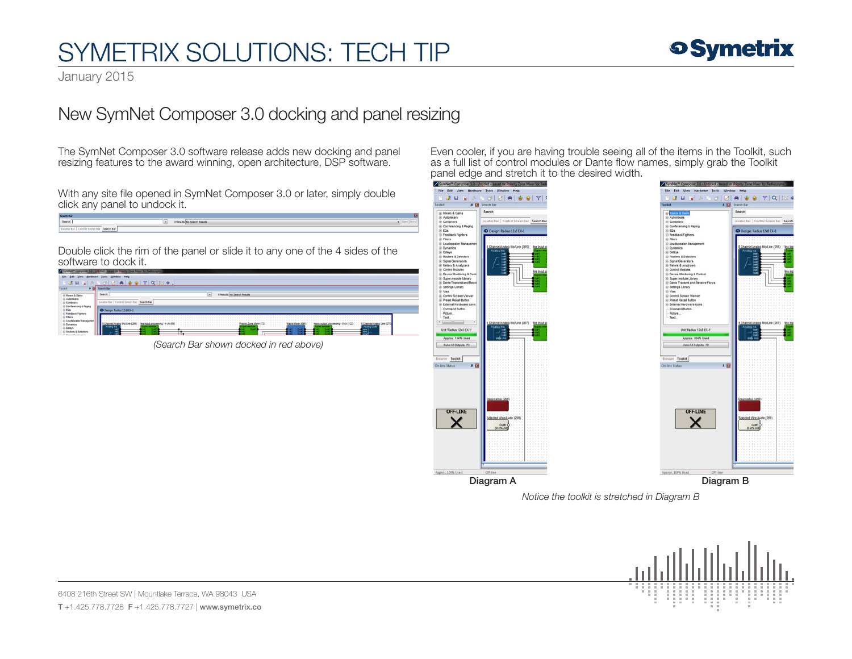## SYMETRIX SOLUTIONS: TECH TIP

### **o Symetrix**

January 2015

### New SymNet Composer 3.0 docking and panel resizing

The SymNet Composer 3.0 software release adds new docking and panel resizing features to the award winning, open architecture, DSP software.

With any site file opened in SymNet Composer 3.0 or later, simply double click any panel to undock it.

| Search Bar                                     |                              |  |
|------------------------------------------------|------------------------------|--|
| Search:                                        | 0 Results: No Search Results |  |
| Search Bar<br>Locator Bar   Control Screen Bar |                              |  |

Double click the rim of the panel or slide it to any one of the 4 sides of the software to dock it.

|                                                    | Symbet" Composer 3.0 - Untitled - based on Priority Zone Muer for Radius syme                                                                                                         |  |  |
|----------------------------------------------------|---------------------------------------------------------------------------------------------------------------------------------------------------------------------------------------|--|--|
| File:<br><b>View</b>                               | Hardware Tools Window Help                                                                                                                                                            |  |  |
| $H_{\text{M}}$<br>$-8$                             | $\mathcal{S} = \mathcal{S} \left[ \mathbf{Z} \mid \mathbf{A} \mid \mathbf{B} \mid \mathbf{B} \mid \mathbf{B} \mid \mathbf{Y} \mid \mathbf{Q} \mid \mathbf{B} \mid \mathbf{0} \right]$ |  |  |
| . .                                                | <b>Casum Bar</b>                                                                                                                                                                      |  |  |
| <b>Maura &amp; Gains</b>                           | Search<br><b>No. Search Deauto</b>                                                                                                                                                    |  |  |
| Automotivers<br>Continers<br>Conferencing & Paging | <b>Search Bar</b>                                                                                                                                                                     |  |  |
| i EGs<br>Feadback Fishbers                         |                                                                                                                                                                                       |  |  |
| Fibers                                             | Priority Zone Marer (72)<br><b>B.Channel Analy</b><br>Ine input processing<br>mone evilyd processing<br>Analog Cuts<br>naico ins<br><b>XXXXXXXXXXXXX</b><br><br>$-111$                |  |  |
|                                                    | $-7.7.7$<br>нç<br>$-1$ $-1$ $-1$ $-1$<br>m.                                                                                                                                           |  |  |

*(Search Bar shown docked in red above)*

Even cooler, if you are having trouble seeing all of the items in the Toolkit, such as a full list of control modules or Dante flow names, simply grab the Toolkit panel edge and stretch it to the desired width.

#### **BBB**BSD 0 | Z | A | + + + + Y |  $\frac{1}{2}$ D Design: Radius 12-8 FX-1 ® Dynamcs<br>® Delaya<br>® Rouders & Selectors<br>® Rouders & Selectors<br>® Noval Clementars<br>® Unders & Analyzers<br>® Derive Mondors & Co<br>® Super-models Library<br>® Darke Transmit and Res<br>® Pass<br>® Pessel Rocal Durbon<br>® Pessel Rocal Durb **External Hardware In** Command Button<br>Picture...<br>Text...  $\frac{1}{2}$ Unit Radius 12x8 EX-1 Approx, 104% Used Mute All Outputs #2 Toolkit OFF-LINE  $\times$ Outrit<br>2% A01 Diagram A Diagram B



*Notice the toolkit is stretched in Diagram B*



6408 216th Street SW | Mountlake Terrace, WA 98043 USA T +1.425.778.7728 F +1.425.778.7727 | www.symetrix.co